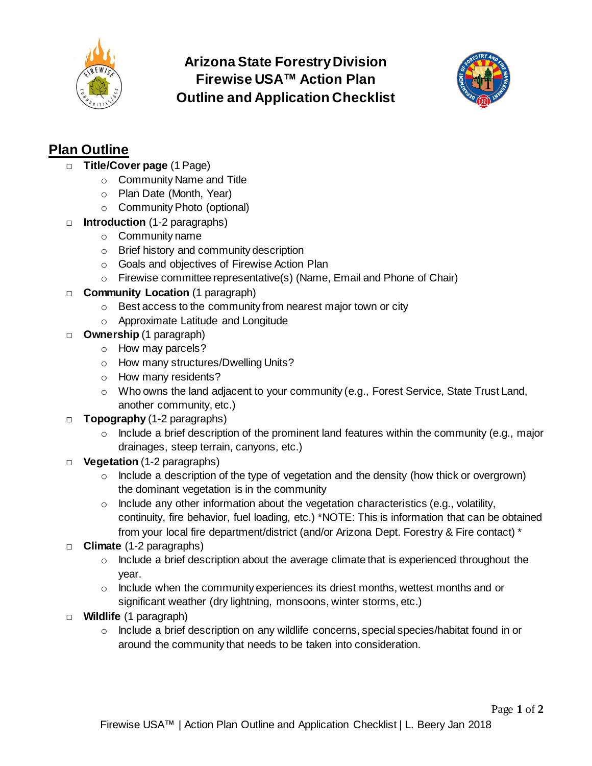

## **Arizona State Forestry Division Firewise USA™ Action Plan Outline and Application Checklist**



## **Plan Outline**

- □ **Title/Cover page** (1 Page)
	- o Community Name and Title
	- o Plan Date (Month, Year)
	- o Community Photo (optional)
- □ **Introduction** (1-2 paragraphs)
	- o Community name
	- o Brief history and community description
	- o Goals and objectives of Firewise Action Plan
	- o Firewise committee representative(s) (Name, Email and Phone of Chair)
- □ **Community Location** (1 paragraph)
	- o Best access to the community from nearest major town or city
	- o Approximate Latitude and Longitude
- □ **Ownership** (1 paragraph)
	- o How may parcels?
	- o How many structures/Dwelling Units?
	- o How many residents?
	- o Who owns the land adjacent to your community (e.g., Forest Service, State Trust Land, another community, etc.)
- □ **Topography** (1-2 paragraphs)
	- $\circ$  Include a brief description of the prominent land features within the community (e.g., major drainages, steep terrain, canyons, etc.)
- □ **Vegetation** (1-2 paragraphs)
	- $\circ$  Include a description of the type of vegetation and the density (how thick or overgrown) the dominant vegetation is in the community
	- $\circ$  Include any other information about the vegetation characteristics (e.g., volatility, continuity, fire behavior, fuel loading, etc.) \*NOTE: This is information that can be obtained from your local fire department/district (and/or Arizona Dept. Forestry & Fire contact) \*
- □ **Climate** (1-2 paragraphs)
	- $\circ$  Include a brief description about the average climate that is experienced throughout the year.
	- $\circ$  Include when the community experiences its driest months, wettest months and or significant weather (dry lightning, monsoons, winter storms, etc.)
- □ **Wildlife** (1 paragraph)
	- $\circ$  Include a brief description on any wildlife concerns, special species/habitat found in or around the community that needs to be taken into consideration.